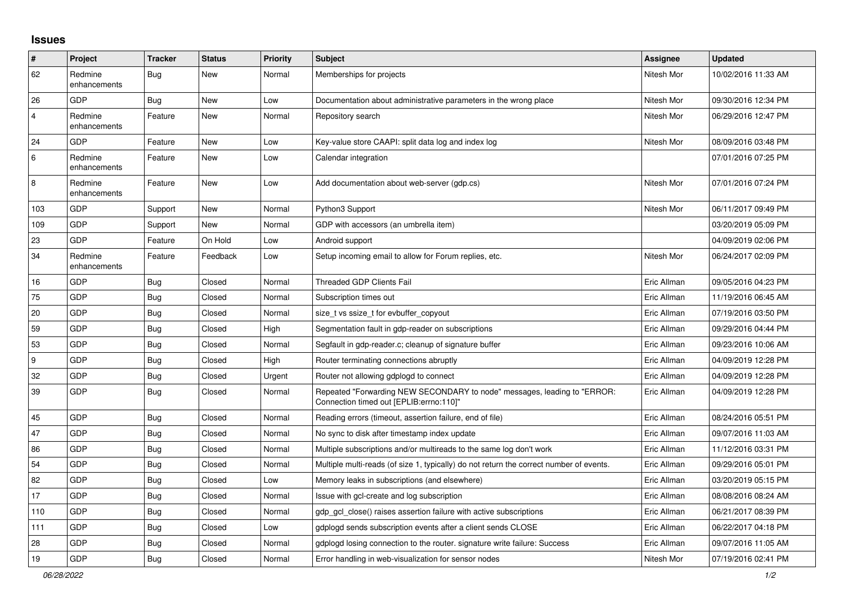## **Issues**

| #              | Project                 | <b>Tracker</b> | <b>Status</b> | <b>Priority</b> | <b>Subject</b>                                                                                                      | <b>Assignee</b> | <b>Updated</b>      |
|----------------|-------------------------|----------------|---------------|-----------------|---------------------------------------------------------------------------------------------------------------------|-----------------|---------------------|
| 62             | Redmine<br>enhancements | Bug            | New           | Normal          | Memberships for projects                                                                                            | Nitesh Mor      | 10/02/2016 11:33 AM |
| 26             | GDP                     | Bug            | New           | Low             | Documentation about administrative parameters in the wrong place                                                    | Nitesh Mor      | 09/30/2016 12:34 PM |
| $\overline{4}$ | Redmine<br>enhancements | Feature        | New           | Normal          | Repository search                                                                                                   | Nitesh Mor      | 06/29/2016 12:47 PM |
| 24             | GDP                     | Feature        | New           | Low             | Key-value store CAAPI: split data log and index log                                                                 | Nitesh Mor      | 08/09/2016 03:48 PM |
| $\,6\,$        | Redmine<br>enhancements | Feature        | New           | Low             | Calendar integration                                                                                                |                 | 07/01/2016 07:25 PM |
| 8              | Redmine<br>enhancements | Feature        | New           | Low             | Add documentation about web-server (gdp.cs)                                                                         | Nitesh Mor      | 07/01/2016 07:24 PM |
| 103            | GDP                     | Support        | <b>New</b>    | Normal          | Python3 Support                                                                                                     | Nitesh Mor      | 06/11/2017 09:49 PM |
| 109            | GDP                     | Support        | New           | Normal          | GDP with accessors (an umbrella item)                                                                               |                 | 03/20/2019 05:09 PM |
| 23             | <b>GDP</b>              | Feature        | On Hold       | Low             | Android support                                                                                                     |                 | 04/09/2019 02:06 PM |
| 34             | Redmine<br>enhancements | Feature        | Feedback      | Low             | Setup incoming email to allow for Forum replies, etc.                                                               | Nitesh Mor      | 06/24/2017 02:09 PM |
| 16             | GDP                     | <b>Bug</b>     | Closed        | Normal          | <b>Threaded GDP Clients Fail</b>                                                                                    | Eric Allman     | 09/05/2016 04:23 PM |
| 75             | GDP                     | Bug            | Closed        | Normal          | Subscription times out                                                                                              | Eric Allman     | 11/19/2016 06:45 AM |
| 20             | GDP                     | Bug            | Closed        | Normal          | size t vs ssize t for evbuffer copyout                                                                              | Eric Allman     | 07/19/2016 03:50 PM |
| 59             | <b>GDP</b>              | <b>Bug</b>     | Closed        | High            | Segmentation fault in gdp-reader on subscriptions                                                                   | Eric Allman     | 09/29/2016 04:44 PM |
| 53             | GDP                     | <b>Bug</b>     | Closed        | Normal          | Segfault in gdp-reader.c; cleanup of signature buffer                                                               | Eric Allman     | 09/23/2016 10:06 AM |
| l 9            | GDP                     | Bug            | Closed        | High            | Router terminating connections abruptly                                                                             | Eric Allman     | 04/09/2019 12:28 PM |
| 32             | GDP                     | <b>Bug</b>     | Closed        | Urgent          | Router not allowing gdplogd to connect                                                                              | Eric Allman     | 04/09/2019 12:28 PM |
| 39             | <b>GDP</b>              | <b>Bug</b>     | Closed        | Normal          | Repeated "Forwarding NEW SECONDARY to node" messages, leading to "ERROR:<br>Connection timed out [EPLIB:errno:110]" | Eric Allman     | 04/09/2019 12:28 PM |
| 45             | GDP                     | Bug            | Closed        | Normal          | Reading errors (timeout, assertion failure, end of file)                                                            | Eric Allman     | 08/24/2016 05:51 PM |
| 47             | GDP                     | <b>Bug</b>     | Closed        | Normal          | No sync to disk after timestamp index update                                                                        | Eric Allman     | 09/07/2016 11:03 AM |
| 86             | GDP                     | Bug            | Closed        | Normal          | Multiple subscriptions and/or multireads to the same log don't work                                                 | Eric Allman     | 11/12/2016 03:31 PM |
| 54             | GDP                     | <b>Bug</b>     | Closed        | Normal          | Multiple multi-reads (of size 1, typically) do not return the correct number of events.                             | Eric Allman     | 09/29/2016 05:01 PM |
| 82             | <b>GDP</b>              | <b>Bug</b>     | Closed        | Low             | Memory leaks in subscriptions (and elsewhere)                                                                       | Eric Allman     | 03/20/2019 05:15 PM |
| 17             | GDP                     | <b>Bug</b>     | Closed        | Normal          | Issue with gcl-create and log subscription                                                                          | Eric Allman     | 08/08/2016 08:24 AM |
| 110            | GDP                     | Bug            | Closed        | Normal          | gdp gcl close() raises assertion failure with active subscriptions                                                  | Eric Allman     | 06/21/2017 08:39 PM |
| 111            | GDP                     | Bug            | Closed        | Low             | gdplogd sends subscription events after a client sends CLOSE                                                        | Eric Allman     | 06/22/2017 04:18 PM |
| 28             | <b>GDP</b>              | <b>Bug</b>     | Closed        | Normal          | gdplogd losing connection to the router, signature write failure: Success                                           | Eric Allman     | 09/07/2016 11:05 AM |
| 19             | GDP                     | Bug            | Closed        | Normal          | Error handling in web-visualization for sensor nodes                                                                | Nitesh Mor      | 07/19/2016 02:41 PM |